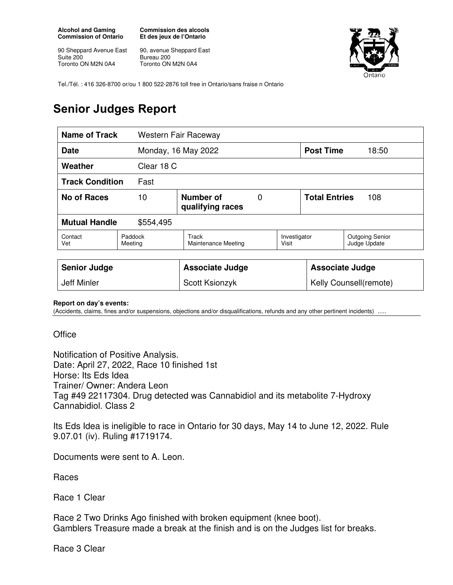**Alcohol and Gaming Commission of Ontario** 

90 Sheppard Avenue East Suite 200 Toronto ON M2N 0A4

**Commission des alcools Et des jeux de l'Ontario** 

90, avenue Sheppard East Bureau 200 Toronto ON M2N 0A4



Tel./Tél. : 416 326-8700 or/ou 1 800 522-2876 toll free in Ontario/sans fraise n Ontario

## **Senior Judges Report**

| <b>Name of Track</b><br>Western Fair Raceway |                    |                                              |          |                        |                             |                                        |
|----------------------------------------------|--------------------|----------------------------------------------|----------|------------------------|-----------------------------|----------------------------------------|
| <b>Date</b>                                  |                    | Monday, 16 May 2022                          |          | <b>Post Time</b>       | 18:50                       |                                        |
| Weather                                      |                    | Clear 18 C                                   |          |                        |                             |                                        |
| <b>Track Condition</b><br>Fast               |                    |                                              |          |                        |                             |                                        |
| <b>No of Races</b><br>10                     |                    | Number of<br>qualifying races                | $\Omega$ |                        | <b>Total Entries</b><br>108 |                                        |
| <b>Mutual Handle</b><br>\$554,495            |                    |                                              |          |                        |                             |                                        |
| Contact<br>Vet                               | Paddock<br>Meeting | Track<br>Visit<br><b>Maintenance Meeting</b> |          | Investigator           |                             | <b>Outgoing Senior</b><br>Judge Update |
|                                              |                    |                                              |          |                        |                             |                                        |
| <b>Senior Judge</b>                          |                    | <b>Associate Judge</b>                       |          |                        | <b>Associate Judge</b>      |                                        |
| <b>Jeff Minler</b>                           |                    | Scott Ksionzyk                               |          | Kelly Counsell(remote) |                             |                                        |

**Report on day's events:** 

(Accidents, claims, fines and/or suspensions, objections and/or disqualifications, refunds and any other pertinent incidents) ….

**Office** 

Notification of Positive Analysis. Date: April 27, 2022, Race 10 finished 1st Horse: Its Eds Idea Trainer/ Owner: Andera Leon Tag #49 22117304. Drug detected was Cannabidiol and its metabolite 7-Hydroxy Cannabidiol. Class 2

Its Eds Idea is ineligible to race in Ontario for 30 days, May 14 to June 12, 2022. Rule 9.07.01 (iv). Ruling #1719174.

Documents were sent to A. Leon.

Races

Race 1 Clear

Race 2 Two Drinks Ago finished with broken equipment (knee boot). Gamblers Treasure made a break at the finish and is on the Judges list for breaks.

Race 3 Clear